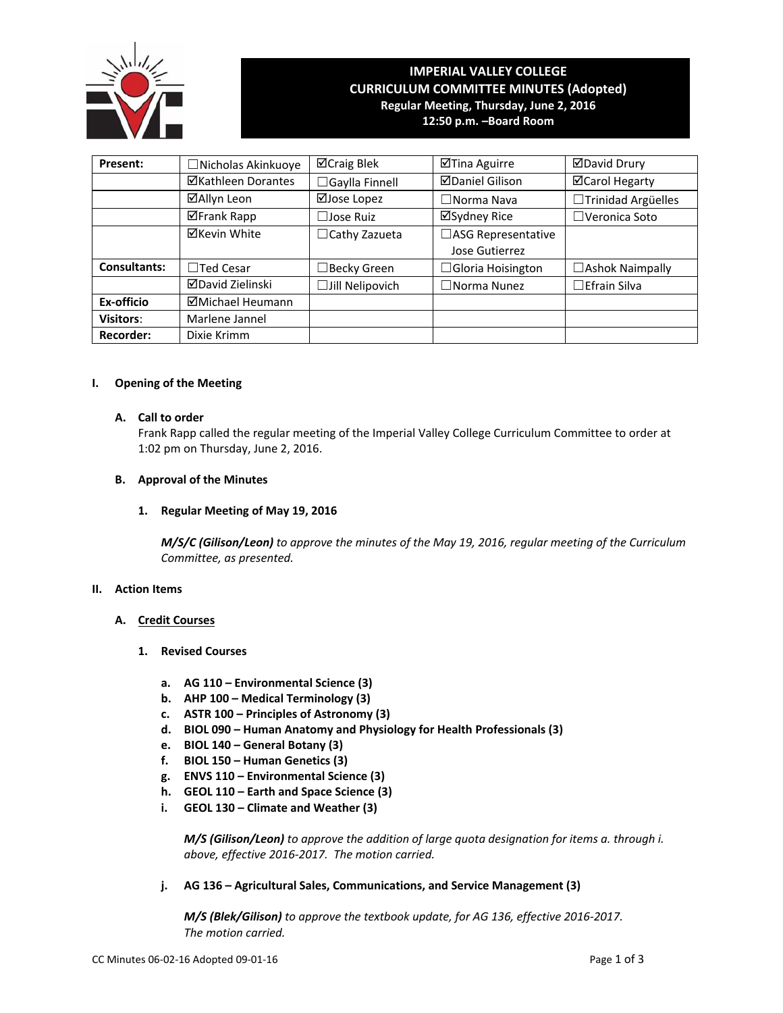

# **IMPERIAL VALLEY COLLEGE CURRICULUM COMMITTEE MINUTES (Adopted) Regular Meeting, Thursday, June 2, 2016**

**12:50 p.m. –Board Room**

| Present:            | □ Nicholas Akinkuoye | ⊠Craig Blek            | ⊠Tina Aguirre            | <b>ØDavid Drury</b>    |  |
|---------------------|----------------------|------------------------|--------------------------|------------------------|--|
|                     | ⊠Kathleen Dorantes   | $\Box$ Gaylla Finnell  | <b>⊠Daniel Gilison</b>   | <b>⊠Carol Hegarty</b>  |  |
|                     | ⊠Allyn Leon          | ⊠Jose Lopez            | $\Box$ Norma Nava        | □Trinidad Argüelles    |  |
|                     | ⊠Frank Rapp          | $\Box$ Jose Ruiz       | ⊠Sydney Rice             | $\Box$ Veronica Soto   |  |
|                     | <b>⊠Kevin White</b>  | $\Box$ Cathy Zazueta   | □ASG Representative      |                        |  |
|                     |                      |                        | Jose Gutierrez           |                        |  |
| <b>Consultants:</b> | $\Box$ Ted Cesar     | $\Box$ Becky Green     | $\Box$ Gloria Hoisington | $\Box$ Ashok Naimpally |  |
|                     | ⊠David Zielinski     | $\Box$ Jill Nelipovich | $\Box$ Norma Nunez       | $\Box$ Efrain Silva    |  |
| Ex-officio          | ⊠Michael Heumann     |                        |                          |                        |  |
| Visitors:           | Marlene Jannel       |                        |                          |                        |  |
| <b>Recorder:</b>    | Dixie Krimm          |                        |                          |                        |  |

## **I. Opening of the Meeting**

# **A. Call to order**

Frank Rapp called the regular meeting of the Imperial Valley College Curriculum Committee to order at 1:02 pm on Thursday, June 2, 2016.

# **B. Approval of the Minutes**

# **1. Regular Meeting of May 19, 2016**

*M/S/C (Gilison/Leon) to approve the minutes of the May 19, 2016, regular meeting of the Curriculum Committee, as presented.* 

# **II. Action Items**

# **A. Credit Courses**

- **1. Revised Courses**
	- **a. AG 110 – Environmental Science (3)**
	- **b. AHP 100 – Medical Terminology (3)**
	- **c. ASTR 100 – Principles of Astronomy (3)**
	- **d. BIOL 090 – Human Anatomy and Physiology for Health Professionals (3)**
	- **e. BIOL 140 – General Botany (3)**
	- **f. BIOL 150 – Human Genetics (3)**
	- **g. ENVS 110 – Environmental Science (3)**
	- **h. GEOL 110 – Earth and Space Science (3)**
	- **i. GEOL 130 – Climate and Weather (3)**

 *M/S (Gilison/Leon) to approve the addition of large quota designation for items a. through i. above, effective 2016‐2017. The motion carried.*

**j. AG 136 – Agricultural Sales, Communications, and Service Management (3)**

 *M/S (Blek/Gilison) to approve the textbook update, for AG 136, effective 2016‐2017. The motion carried.*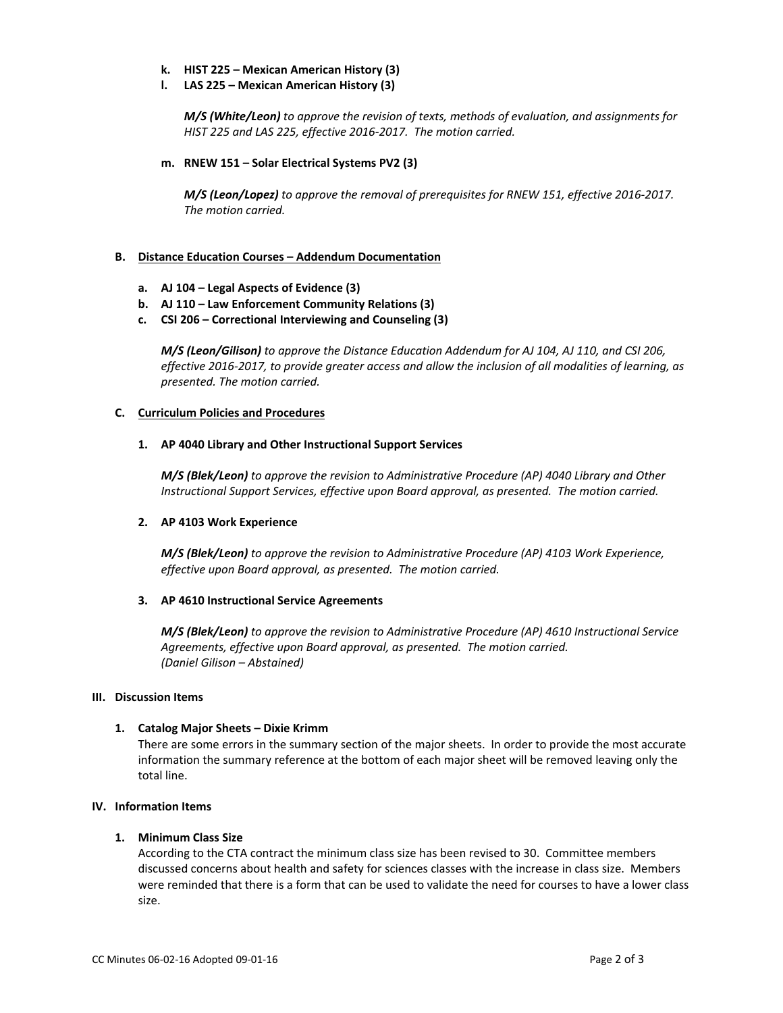- **k. HIST 225 – Mexican American History (3)**
- **l. LAS 225 – Mexican American History (3)**

 *M/S (White/Leon) to approve the revision of texts, methods of evaluation, and assignments for HIST 225 and LAS 225, effective 2016‐2017. The motion carried.*

## **m. RNEW 151 – Solar Electrical Systems PV2 (3)**

 *M/S (Leon/Lopez) to approve the removal of prerequisites for RNEW 151, effective 2016‐2017. The motion carried.*

## **B. Distance Education Courses – Addendum Documentation**

- **a. AJ 104 – Legal Aspects of Evidence (3)**
- **b. AJ 110 – Law Enforcement Community Relations (3)**
- **c. CSI 206 – Correctional Interviewing and Counseling (3)**

*M/S (Leon/Gilison) to approve the Distance Education Addendum for AJ 104, AJ 110, and CSI 206,* effective 2016-2017, to provide greater access and allow the inclusion of all modalities of learning, as *presented. The motion carried.*

### **C. Curriculum Policies and Procedures**

### **1. AP 4040 Library and Other Instructional Support Services**

*M/S (Blek/Leon) to approve the revision to Administrative Procedure (AP) 4040 Library and Other Instructional Support Services, effective upon Board approval, as presented. The motion carried.*

### **2. AP 4103 Work Experience**

*M/S (Blek/Leon) to approve the revision to Administrative Procedure (AP) 4103 Work Experience, effective upon Board approval, as presented. The motion carried.*

### **3. AP 4610 Instructional Service Agreements**

*M/S (Blek/Leon) to approve the revision to Administrative Procedure (AP) 4610 Instructional Service Agreements, effective upon Board approval, as presented. The motion carried. (Daniel Gilison – Abstained)*

## **III. Discussion Items**

## **1. Catalog Major Sheets – Dixie Krimm**

There are some errors in the summary section of the major sheets. In order to provide the most accurate information the summary reference at the bottom of each major sheet will be removed leaving only the total line.

# **IV. Information Items**

### **1. Minimum Class Size**

According to the CTA contract the minimum class size has been revised to 30. Committee members discussed concerns about health and safety for sciences classes with the increase in class size. Members were reminded that there is a form that can be used to validate the need for courses to have a lower class size.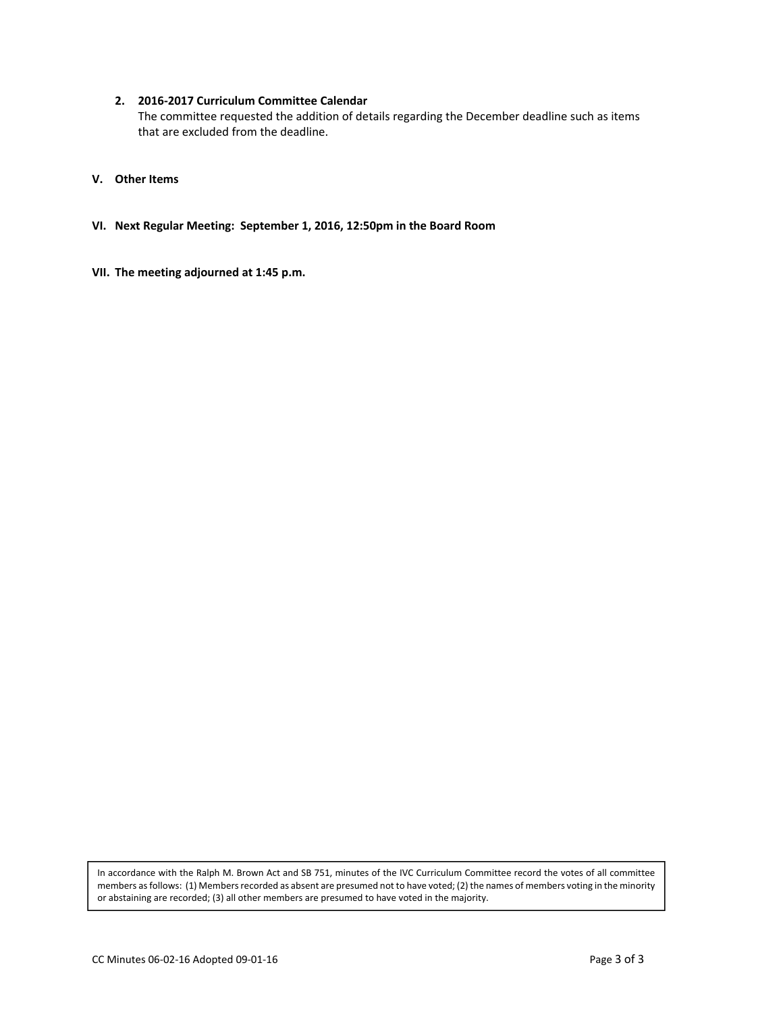## **2. 2016‐2017 Curriculum Committee Calendar**

The committee requested the addition of details regarding the December deadline such as items that are excluded from the deadline.

# **V. Other Items**

- **VI. Next Regular Meeting: September 1, 2016, 12:50pm in the Board Room**
- **VII. The meeting adjourned at 1:45 p.m.**

In accordance with the Ralph M. Brown Act and SB 751, minutes of the IVC Curriculum Committee record the votes of all committee members as follows: (1) Members recorded as absent are presumed not to have voted; (2) the names of members voting in the minority or abstaining are recorded; (3) all other members are presumed to have voted in the majority.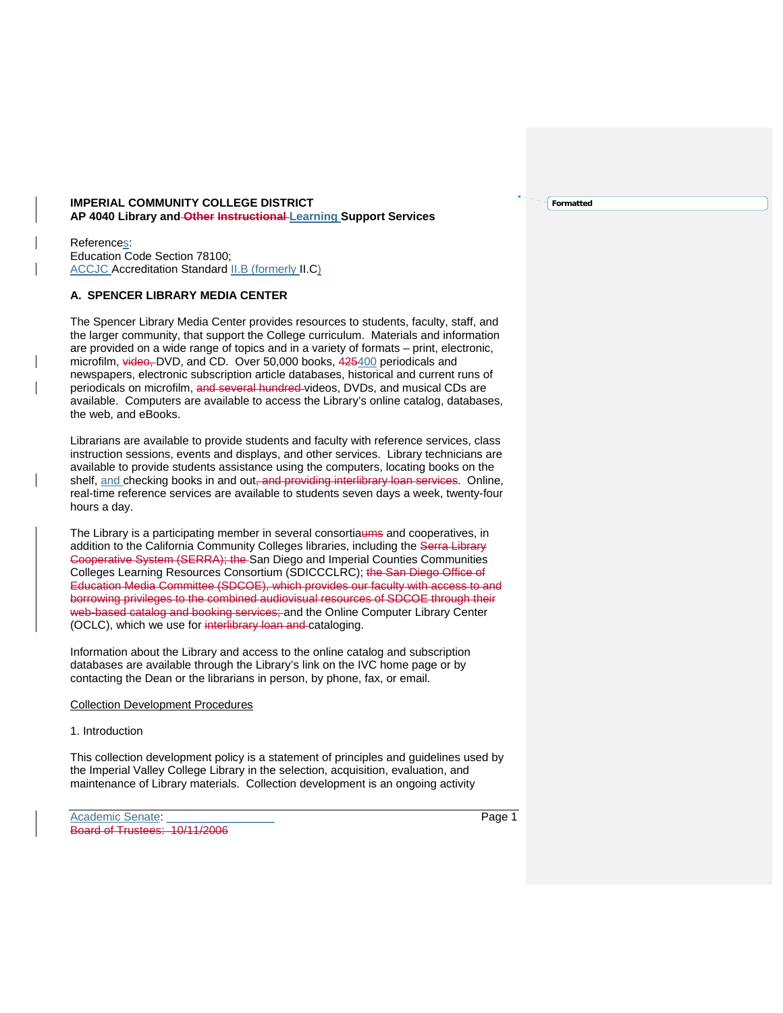### **IMPERIAL COMMUNITY COLLEGE DISTRICT AP 4040 Library and Other Instructional Learning Support Services**

References: Education Code Section 78100; ACCJC Accreditation Standard II.B (formerly II.C)

## **A. SPENCER LIBRARY MEDIA CENTER**

The Spencer Library Media Center provides resources to students, faculty, staff, and the larger community, that support the College curriculum. Materials and information are provided on a wide range of topics and in a variety of formats – print, electronic, microfilm, video, DVD, and CD. Over 50,000 books, 425400 periodicals and newspapers, electronic subscription article databases, historical and current runs of periodicals on microfilm, and several hundred videos, DVDs, and musical CDs are available. Computers are available to access the Library's online catalog, databases, the web, and eBooks.

Librarians are available to provide students and faculty with reference services, class instruction sessions, events and displays, and other services. Library technicians are available to provide students assistance using the computers, locating books on the shelf, and checking books in and out, and providing interlibrary loan services. Online, real-time reference services are available to students seven days a week, twenty-four hours a day.

The Library is a participating member in several consortiaums and cooperatives, in addition to the California Community Colleges libraries, including the Serra Library Cooperative System (SERRA); the San Diego and Imperial Counties Communities Colleges Learning Resources Consortium (SDICCCLRC); the San Diego Office of Education Media Committee (SDCOE), which provides our faculty with access to and borrowing privileges to the combined audiovisual resources of SDCOE through their web-based catalog and booking services; and the Online Computer Library Center (OCLC), which we use for interlibrary loan and cataloging.

Information about the Library and access to the online catalog and subscription databases are available through the Library's link on the IVC home page or by contacting the Dean or the librarians in person, by phone, fax, or email.

### Collection Development Procedures

## 1. Introduction

This collection development policy is a statement of principles and guidelines used by the Imperial Valley College Library in the selection, acquisition, evaluation, and maintenance of Library materials. Collection development is an ongoing activity

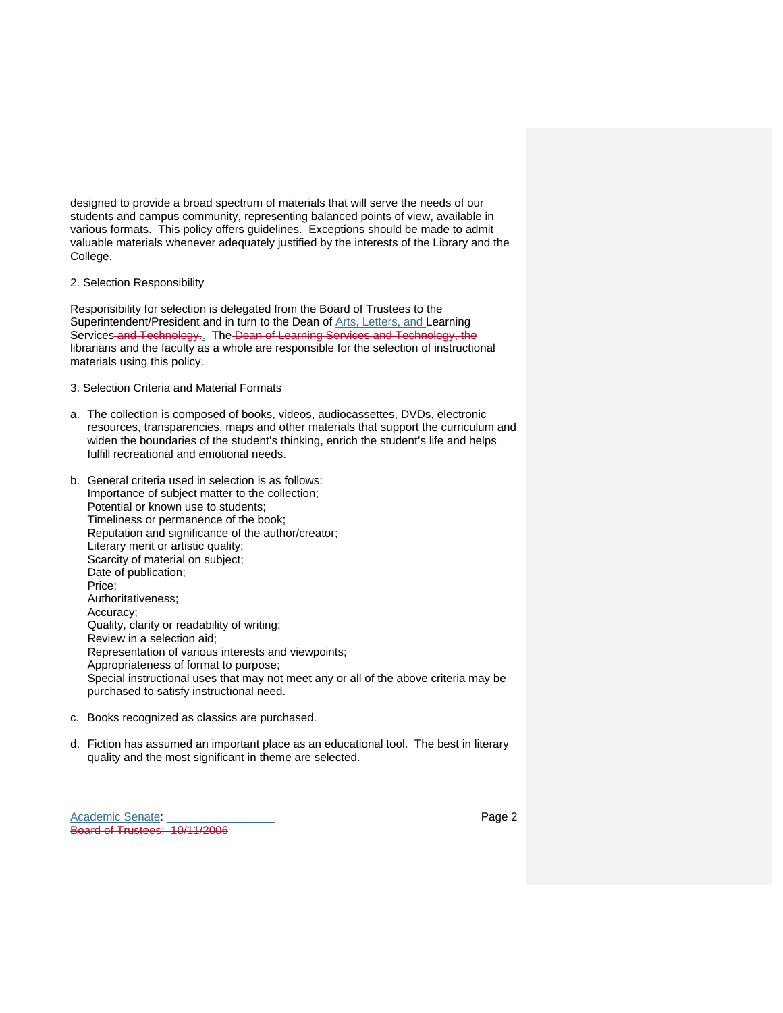designed to provide a broad spectrum of materials that will serve the needs of our students and campus community, representing balanced points of view, available in various formats. This policy offers guidelines. Exceptions should be made to admit valuable materials whenever adequately justified by the interests of the Library and the College.

2. Selection Responsibility

Responsibility for selection is delegated from the Board of Trustees to the Superintendent/President and in turn to the Dean of Arts, Letters, and Learning Services and Technology.. The Dean of Learning Services and Technology, the librarians and the faculty as a whole are responsible for the selection of instructional materials using this policy.

- 3. Selection Criteria and Material Formats
- a. The collection is composed of books, videos, audiocassettes, DVDs, electronic resources, transparencies, maps and other materials that support the curriculum and widen the boundaries of the student's thinking, enrich the student's life and helps fulfill recreational and emotional needs.
- b. General criteria used in selection is as follows: Importance of subject matter to the collection; Potential or known use to students; Timeliness or permanence of the book; Reputation and significance of the author/creator; Literary merit or artistic quality; Scarcity of material on subject; Date of publication; Price; Authoritativeness; Accuracy; Quality, clarity or readability of writing; Review in a selection aid; Representation of various interests and viewpoints; Appropriateness of format to purpose; Special instructional uses that may not meet any or all of the above criteria may be purchased to satisfy instructional need.
- c. Books recognized as classics are purchased.
- d. Fiction has assumed an important place as an educational tool. The best in literary quality and the most significant in theme are selected.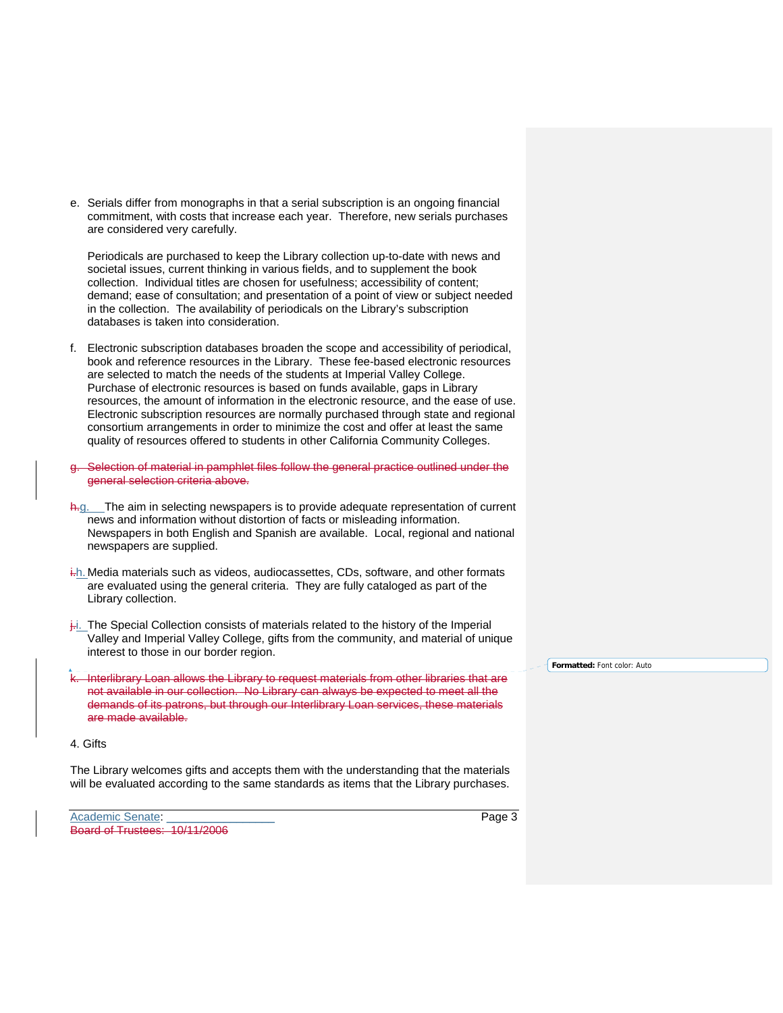e. Serials differ from monographs in that a serial subscription is an ongoing financial commitment, with costs that increase each year. Therefore, new serials purchases are considered very carefully.

Periodicals are purchased to keep the Library collection up-to-date with news and societal issues, current thinking in various fields, and to supplement the book collection. Individual titles are chosen for usefulness; accessibility of content; demand; ease of consultation; and presentation of a point of view or subject needed in the collection. The availability of periodicals on the Library's subscription databases is taken into consideration.

- f. Electronic subscription databases broaden the scope and accessibility of periodical, book and reference resources in the Library. These fee-based electronic resources are selected to match the needs of the students at Imperial Valley College. Purchase of electronic resources is based on funds available, gaps in Library resources, the amount of information in the electronic resource, and the ease of use. Electronic subscription resources are normally purchased through state and regional consortium arrangements in order to minimize the cost and offer at least the same quality of resources offered to students in other California Community Colleges.
- Selection of material in pamphlet files follow the general practice outlined under the general selection criteria above.
- h.g. The aim in selecting newspapers is to provide adequate representation of current news and information without distortion of facts or misleading information. Newspapers in both English and Spanish are available. Local, regional and national newspapers are supplied.
- i.h. Media materials such as videos, audiocassettes, CDs, software, and other formats are evaluated using the general criteria. They are fully cataloged as part of the Library collection.
- $\frac{1}{k}$ . The Special Collection consists of materials related to the history of the Imperial Valley and Imperial Valley College, gifts from the community, and material of unique interest to those in our border region.
- k. Interlibrary Loan allows the Library to request materials from other libraries that are not available in our collection. No Library can always be expected to meet all the demands of its patrons, but through our Interlibrary Loan services, these materials are made available.

**Formatted:** Font color: Auto

### 4. Gifts

The Library welcomes gifts and accepts them with the understanding that the materials will be evaluated according to the same standards as items that the Library purchases.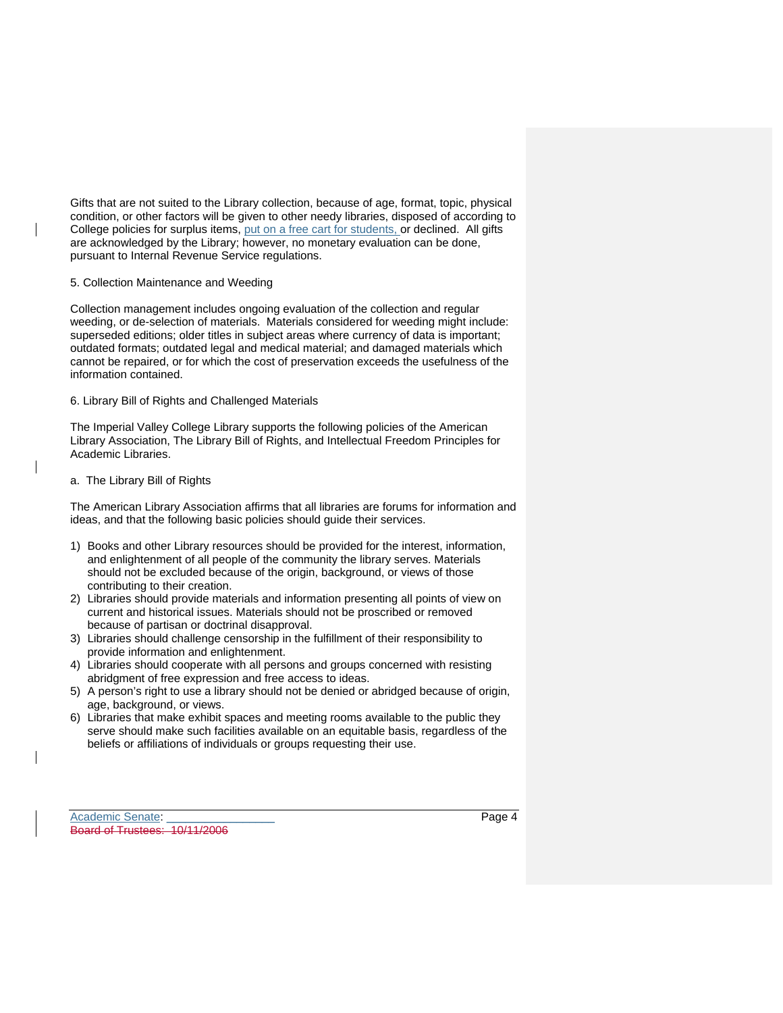Gifts that are not suited to the Library collection, because of age, format, topic, physical condition, or other factors will be given to other needy libraries, disposed of according to College policies for surplus items, put on a free cart for students, or declined. All gifts are acknowledged by the Library; however, no monetary evaluation can be done, pursuant to Internal Revenue Service regulations.

### 5. Collection Maintenance and Weeding

Collection management includes ongoing evaluation of the collection and regular weeding, or de-selection of materials. Materials considered for weeding might include: superseded editions; older titles in subject areas where currency of data is important; outdated formats; outdated legal and medical material; and damaged materials which cannot be repaired, or for which the cost of preservation exceeds the usefulness of the information contained.

### 6. Library Bill of Rights and Challenged Materials

The Imperial Valley College Library supports the following policies of the American Library Association, The Library Bill of Rights, and Intellectual Freedom Principles for Academic Libraries.

## a. The Library Bill of Rights

The American Library Association affirms that all libraries are forums for information and ideas, and that the following basic policies should guide their services.

- 1) Books and other Library resources should be provided for the interest, information, and enlightenment of all people of the community the library serves. Materials should not be excluded because of the origin, background, or views of those contributing to their creation.
- 2) Libraries should provide materials and information presenting all points of view on current and historical issues. Materials should not be proscribed or removed because of partisan or doctrinal disapproval.
- 3) Libraries should challenge censorship in the fulfillment of their responsibility to provide information and enlightenment.
- 4) Libraries should cooperate with all persons and groups concerned with resisting abridgment of free expression and free access to ideas.
- 5) A person's right to use a library should not be denied or abridged because of origin, age, background, or views.
- 6) Libraries that make exhibit spaces and meeting rooms available to the public they serve should make such facilities available on an equitable basis, regardless of the beliefs or affiliations of individuals or groups requesting their use.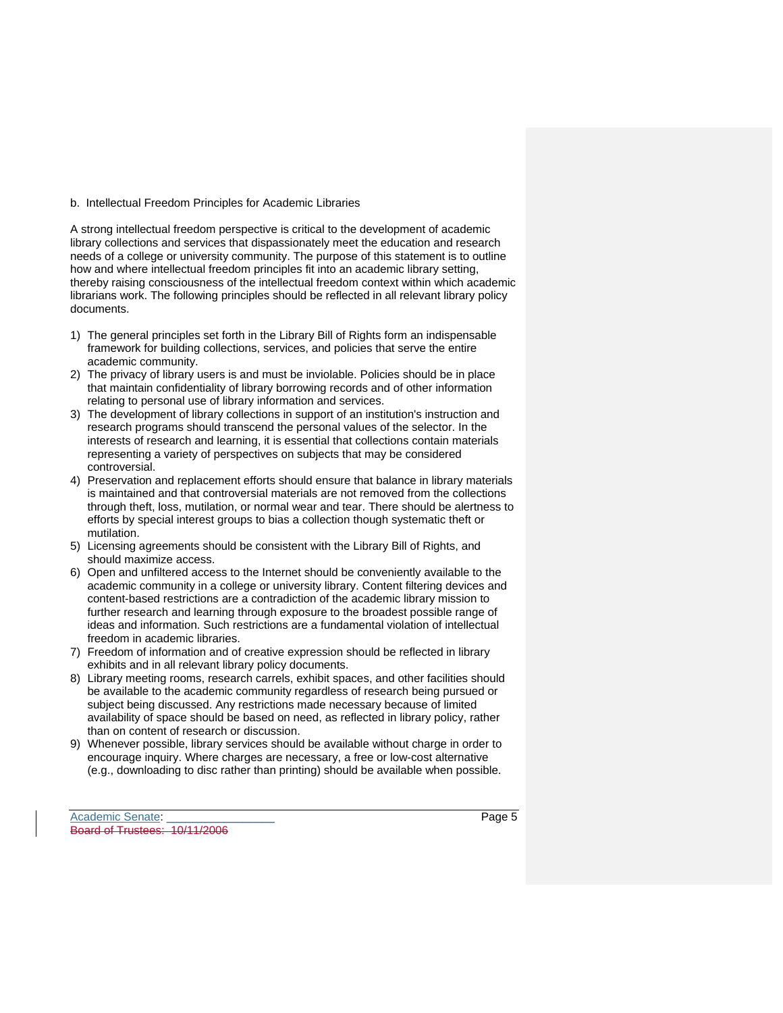### b. Intellectual Freedom Principles for Academic Libraries

A strong intellectual freedom perspective is critical to the development of academic library collections and services that dispassionately meet the education and research needs of a college or university community. The purpose of this statement is to outline how and where intellectual freedom principles fit into an academic library setting, thereby raising consciousness of the intellectual freedom context within which academic librarians work. The following principles should be reflected in all relevant library policy documents.

- 1) The general principles set forth in the Library Bill of Rights form an indispensable framework for building collections, services, and policies that serve the entire academic community.
- 2) The privacy of library users is and must be inviolable. Policies should be in place that maintain confidentiality of library borrowing records and of other information relating to personal use of library information and services.
- 3) The development of library collections in support of an institution's instruction and research programs should transcend the personal values of the selector. In the interests of research and learning, it is essential that collections contain materials representing a variety of perspectives on subjects that may be considered controversial.
- 4) Preservation and replacement efforts should ensure that balance in library materials is maintained and that controversial materials are not removed from the collections through theft, loss, mutilation, or normal wear and tear. There should be alertness to efforts by special interest groups to bias a collection though systematic theft or mutilation.
- 5) Licensing agreements should be consistent with the Library Bill of Rights, and should maximize access.
- 6) Open and unfiltered access to the Internet should be conveniently available to the academic community in a college or university library. Content filtering devices and content-based restrictions are a contradiction of the academic library mission to further research and learning through exposure to the broadest possible range of ideas and information. Such restrictions are a fundamental violation of intellectual freedom in academic libraries.
- 7) Freedom of information and of creative expression should be reflected in library exhibits and in all relevant library policy documents.
- 8) Library meeting rooms, research carrels, exhibit spaces, and other facilities should be available to the academic community regardless of research being pursued or subject being discussed. Any restrictions made necessary because of limited availability of space should be based on need, as reflected in library policy, rather than on content of research or discussion.
- 9) Whenever possible, library services should be available without charge in order to encourage inquiry. Where charges are necessary, a free or low-cost alternative (e.g., downloading to disc rather than printing) should be available when possible.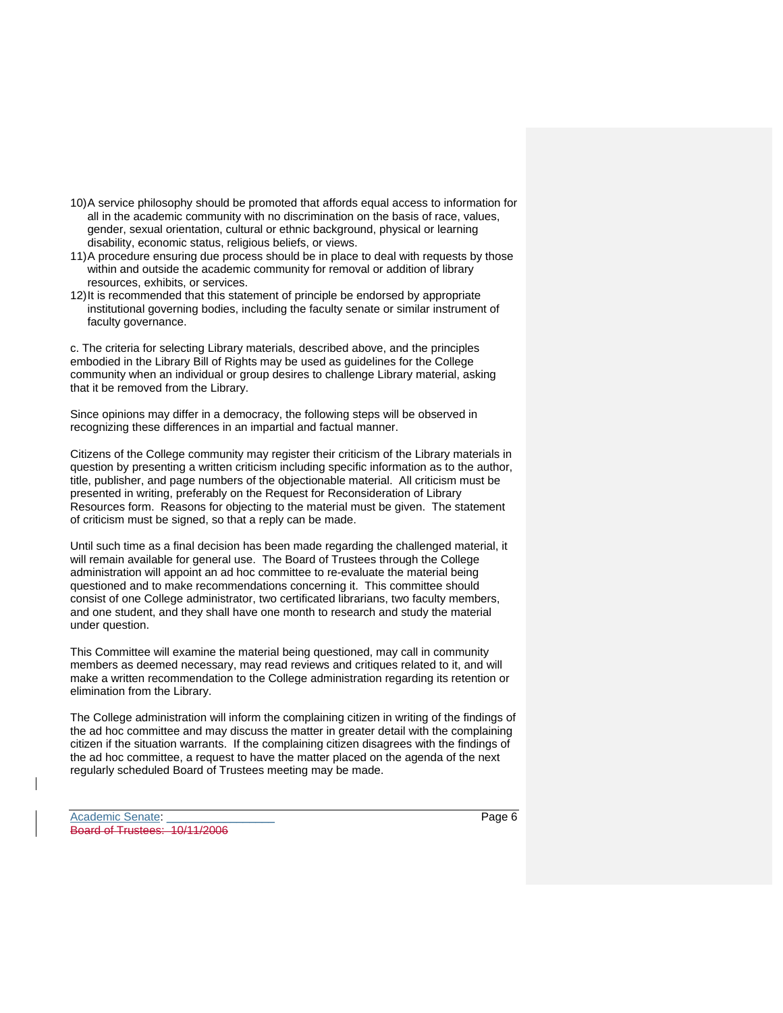- 10) A service philosophy should be promoted that affords equal access to information for all in the academic community with no discrimination on the basis of race, values, gender, sexual orientation, cultural or ethnic background, physical or learning disability, economic status, religious beliefs, or views.
- 11) A procedure ensuring due process should be in place to deal with requests by those within and outside the academic community for removal or addition of library resources, exhibits, or services.
- 12) It is recommended that this statement of principle be endorsed by appropriate institutional governing bodies, including the faculty senate or similar instrument of faculty governance.

c. The criteria for selecting Library materials, described above, and the principles embodied in the Library Bill of Rights may be used as guidelines for the College community when an individual or group desires to challenge Library material, asking that it be removed from the Library.

Since opinions may differ in a democracy, the following steps will be observed in recognizing these differences in an impartial and factual manner.

Citizens of the College community may register their criticism of the Library materials in question by presenting a written criticism including specific information as to the author, title, publisher, and page numbers of the objectionable material. All criticism must be presented in writing, preferably on the Request for Reconsideration of Library Resources form. Reasons for objecting to the material must be given. The statement of criticism must be signed, so that a reply can be made.

Until such time as a final decision has been made regarding the challenged material, it will remain available for general use. The Board of Trustees through the College administration will appoint an ad hoc committee to re-evaluate the material being questioned and to make recommendations concerning it. This committee should consist of one College administrator, two certificated librarians, two faculty members, and one student, and they shall have one month to research and study the material under question.

This Committee will examine the material being questioned, may call in community members as deemed necessary, may read reviews and critiques related to it, and will make a written recommendation to the College administration regarding its retention or elimination from the Library.

The College administration will inform the complaining citizen in writing of the findings of the ad hoc committee and may discuss the matter in greater detail with the complaining citizen if the situation warrants. If the complaining citizen disagrees with the findings of the ad hoc committee, a request to have the matter placed on the agenda of the next regularly scheduled Board of Trustees meeting may be made.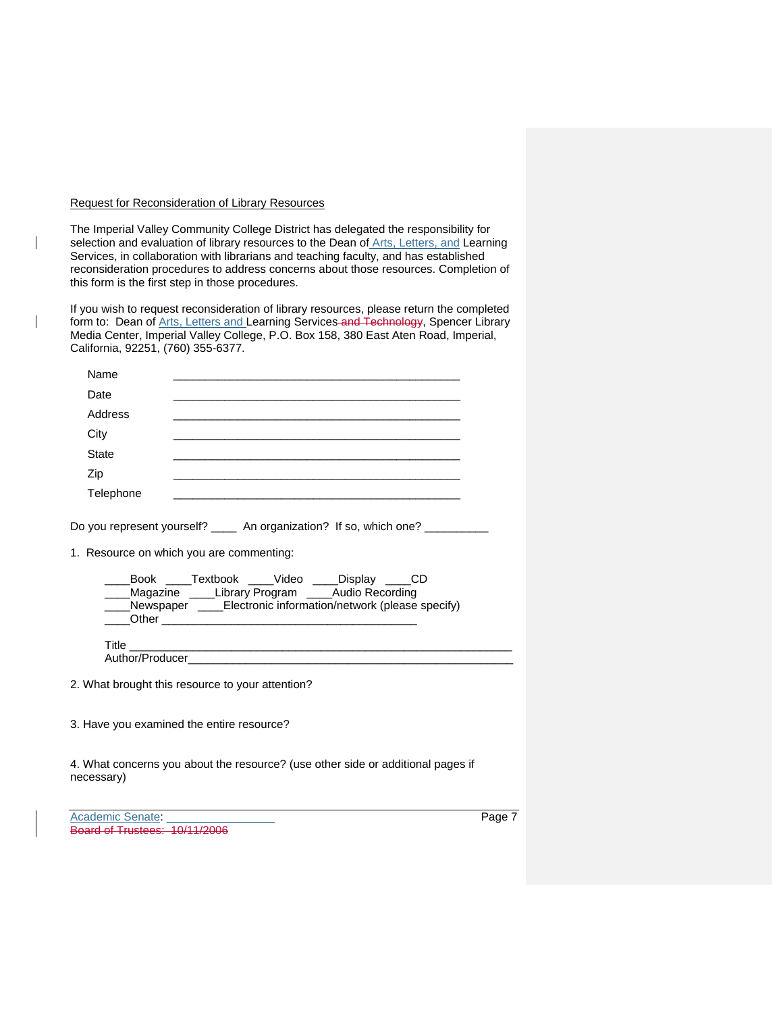### Request for Reconsideration of Library Resources

 $\mathbf{I}$ 

The Imperial Valley Community College District has delegated the responsibility for selection and evaluation of library resources to the Dean of *Arts*, Letters, and Learning Services, in collaboration with librarians and teaching faculty, and has established reconsideration procedures to address concerns about those resources. Completion of this form is the first step in those procedures.

If you wish to request reconsideration of library resources, please return the completed form to: Dean of Arts, Letters and Learning Services and Technology, Spencer Library Media Center, Imperial Valley College, P.O. Box 158, 380 East Aten Road, Imperial, California, 92251, (760) 355-6377.

| Academic Senate:                                                                                                                                                             | Page 7 |
|------------------------------------------------------------------------------------------------------------------------------------------------------------------------------|--------|
| 4. What concerns you about the resource? (use other side or additional pages if<br>necessary)                                                                                |        |
| 3. Have you examined the entire resource?                                                                                                                                    |        |
| 2. What brought this resource to your attention?                                                                                                                             |        |
|                                                                                                                                                                              |        |
|                                                                                                                                                                              |        |
| _Book _____Textbook _____Video _____Display _____CD<br>__Magazine ____Library Program ____Audio Recording<br>__Newspaper ____Electronic information/network (please specify) |        |
|                                                                                                                                                                              |        |
| 1. Resource on which you are commenting:                                                                                                                                     |        |
| Do you represent yourself? _____ An organization? If so, which one? __________                                                                                               |        |
| Telephone                                                                                                                                                                    |        |
| Zip                                                                                                                                                                          |        |
| <b>State</b>                                                                                                                                                                 |        |
| City<br>the control of the control of the control of the control of the control of the control of                                                                            |        |
| Address                                                                                                                                                                      |        |
| Date                                                                                                                                                                         |        |
| Name<br><u> 1989 - Johann Stein, marwolaethau a bhann an t-Amhain an t-Amhain an t-Amhain an t-Amhain an t-Amhain an t-A</u>                                                 |        |

Board of Trustees: 10/11/2006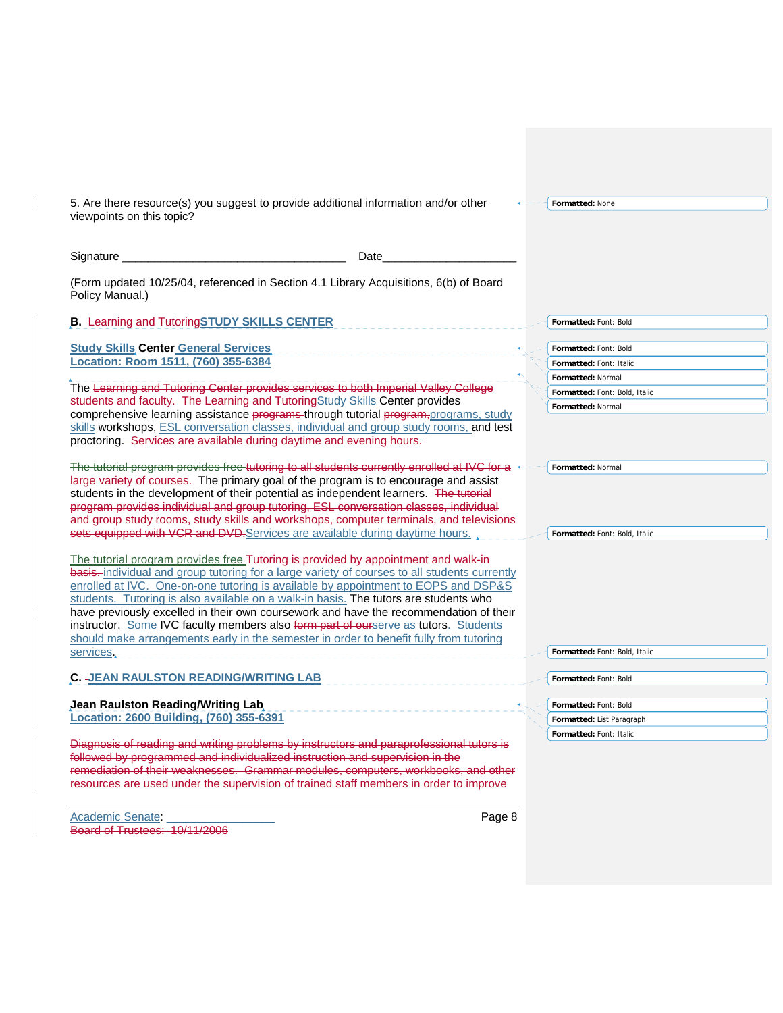| 5. Are there resource(s) you suggest to provide additional information and/or other<br>viewpoints on this topic?                                                                                                                                                                                                                                                                                                                                                                                                                                                                                                                           |                     | Formatted: None                                    |
|--------------------------------------------------------------------------------------------------------------------------------------------------------------------------------------------------------------------------------------------------------------------------------------------------------------------------------------------------------------------------------------------------------------------------------------------------------------------------------------------------------------------------------------------------------------------------------------------------------------------------------------------|---------------------|----------------------------------------------------|
|                                                                                                                                                                                                                                                                                                                                                                                                                                                                                                                                                                                                                                            | Date                |                                                    |
| (Form updated 10/25/04, referenced in Section 4.1 Library Acquisitions, 6(b) of Board<br>Policy Manual.)                                                                                                                                                                                                                                                                                                                                                                                                                                                                                                                                   |                     |                                                    |
| <b>B.</b> Learning and Tutoring STUDY SKILLS CENTER                                                                                                                                                                                                                                                                                                                                                                                                                                                                                                                                                                                        |                     | Formatted: Font: Bold                              |
| <b>Study Skills Center General Services</b><br>Location: Room 1511, (760) 355-6384                                                                                                                                                                                                                                                                                                                                                                                                                                                                                                                                                         | ___________________ | Formatted: Font: Bold<br>Formatted: Font: Italic   |
| The Learning and Tutoring Center provides services to both Imperial Valley College                                                                                                                                                                                                                                                                                                                                                                                                                                                                                                                                                         |                     | <b>Formatted: Normal</b>                           |
| students and faculty. The Learning and TutoringStudy Skills Center provides                                                                                                                                                                                                                                                                                                                                                                                                                                                                                                                                                                |                     | Formatted: Font: Bold, Italic<br>Formatted: Normal |
| comprehensive learning assistance programs through tutorial program, programs, study<br>skills workshops, ESL conversation classes, individual and group study rooms, and test<br>proctoring. Services are available during daytime and evening hours.                                                                                                                                                                                                                                                                                                                                                                                     |                     |                                                    |
| The tutorial program provides free tutoring to all students currently enrolled at IVC for a $\rightarrow$<br>large variety of courses. The primary goal of the program is to encourage and assist<br>students in the development of their potential as independent learners. The tutorial<br>program provides individual and group tutoring, ESL conversation classes, individual<br>and group study rooms, study skills and workshops, computer terminals, and televisions                                                                                                                                                                |                     | Formatted: Normal                                  |
| sets equipped with VCR and DVD.Services are available during daytime hours.                                                                                                                                                                                                                                                                                                                                                                                                                                                                                                                                                                |                     | Formatted: Font: Bold, Italic                      |
| The tutorial program provides free Tutoring is provided by appointment and walk-in<br>basis-individual and group tutoring for a large variety of courses to all students currently<br>enrolled at IVC. One-on-one tutoring is available by appointment to EOPS and DSP&S<br>students. Tutoring is also available on a walk-in basis. The tutors are students who<br>have previously excelled in their own coursework and have the recommendation of their<br>instructor. Some IVC faculty members also form part of ourserve as tutors. Students<br>should make arrangements early in the semester in order to benefit fully from tutoring |                     |                                                    |
| services.                                                                                                                                                                                                                                                                                                                                                                                                                                                                                                                                                                                                                                  |                     | Formatted: Font: Bold, Italic                      |
| C. JEAN RAULSTON READING/WRITING LAB                                                                                                                                                                                                                                                                                                                                                                                                                                                                                                                                                                                                       |                     | Formatted: Font: Bold                              |
| <b>Jean Raulston Reading/Writing Lab</b>                                                                                                                                                                                                                                                                                                                                                                                                                                                                                                                                                                                                   |                     | Formatted: Font: Bold                              |
| Location: 2600 Building, (760) 355-6391                                                                                                                                                                                                                                                                                                                                                                                                                                                                                                                                                                                                    |                     | Formatted: List Paragraph                          |
| Diagnosis of reading and writing problems by instructors and paraprofessional tutors is<br>followed by programmed and individualized instruction and supervision in the<br>remediation of their weaknesses. Grammar modules, computers, workbooks, and other<br>resources are used under the supervision of trained staff members in order to improve                                                                                                                                                                                                                                                                                      |                     | Formatted: Font: Italic                            |

Academic Senate: \_\_\_\_\_\_\_\_\_\_\_\_\_\_\_\_\_ Page 8 Board of Trustees: 10/11/2006

 $\mathbf{l}$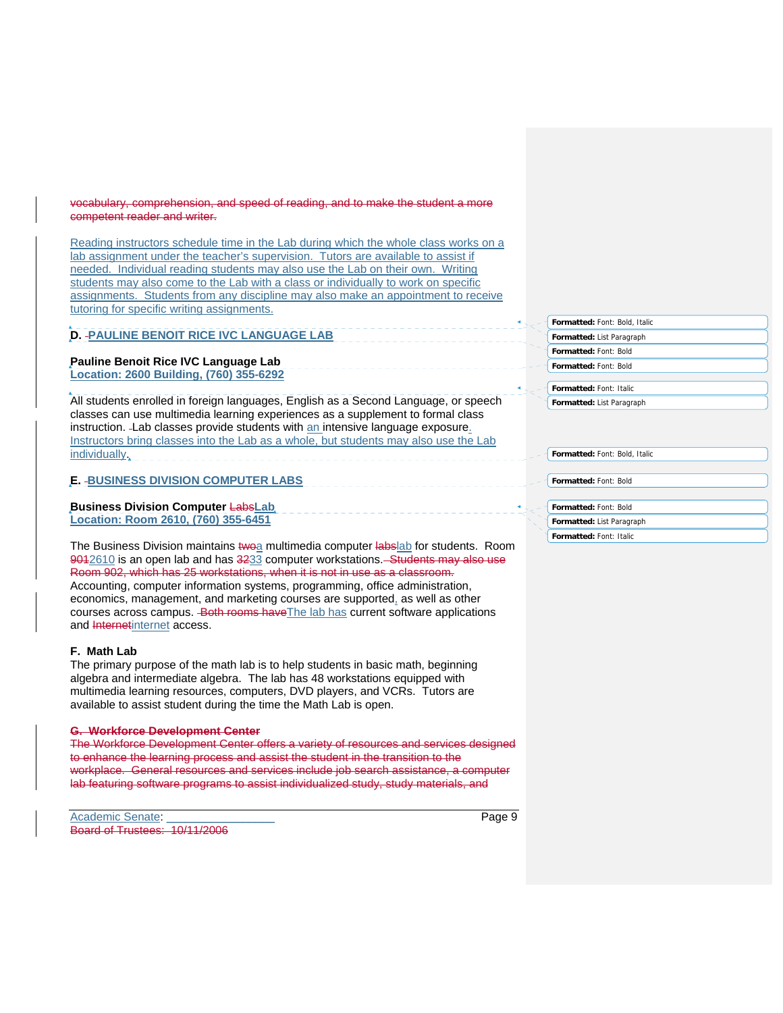### vocabulary, comprehension, and speed of reading, and to make the student a more competent reader and writer.

Reading instructors schedule time in the Lab during which the whole class works on a lab assignment under the teacher's supervision. Tutors are available to assist if needed. Individual reading students may also use the Lab on their own. Writing students may also come to the Lab with a class or individually to work on specific assignments. Students from any discipline may also make an appointment to receive tutoring for specific writing assignments.

# **D. PAULINE BENOIT RICE IVC LANGUAGE LAB**

# **Pauline Benoit Rice IVC Language Lab**

**Location: 2600 Building, (760) 355-6292** 

All students enrolled in foreign languages, English as a Second Language, or speech classes can use multimedia learning experiences as a supplement to formal class instruction. - Lab classes provide students with an intensive language exposure. Instructors bring classes into the Lab as a whole, but students may also use the Lab individually.

# **E. BUSINESS DIVISION COMPUTER LABS**

**Business Division Computer** Labs**Lab Location: Room 2610, (760) 355-6451**

The Business Division maintains twoa multimedia computer labslab for students. Room 9042610 is an open lab and has 3233 computer workstations. Students may also use Room 902, which has 25 workstations, when it is not in use as a classroom. Accounting, computer information systems, programming, office administration, economics, management, and marketing courses are supported, as well as other courses across campus. Both rooms have The lab has current software applications and Internetinternet access.

## **F. Math Lab**

The primary purpose of the math lab is to help students in basic math, beginning algebra and intermediate algebra. The lab has 48 workstations equipped with multimedia learning resources, computers, DVD players, and VCRs. Tutors are available to assist student during the time the Math Lab is open.

### **G. Workforce Development Center**

The Workforce Development Center offers a variety of resources and services designed to enhance the learning process and assist the student in the transition to the workplace. General resources and services include job search assistance, a computer lab featuring software programs to assist individualized study, study materials, and

**Formatted:** Font: Bold, Italic **Formatted:** List Paragraph **Formatted:** Font: Bold **Formatted:** Font: Bold

**Formatted:** Font: Italic **Formatted:** List Paragraph

**Formatted:** Font: Bold, Italic

**Formatted:** Font: Bold

**Formatted:** Font: Bold

**Formatted:** List Paragraph **Formatted:** Font: Italic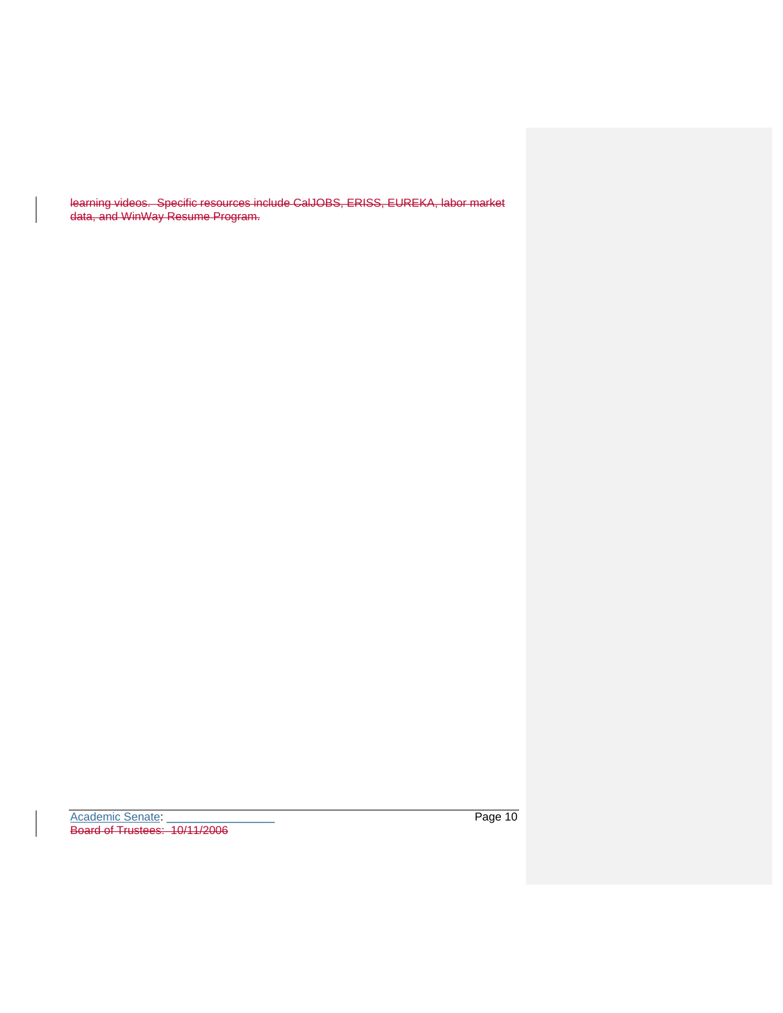learning videos. Specific resources include CalJOBS, ERISS, EUREKA, labor market data, and WinWay Resume Program.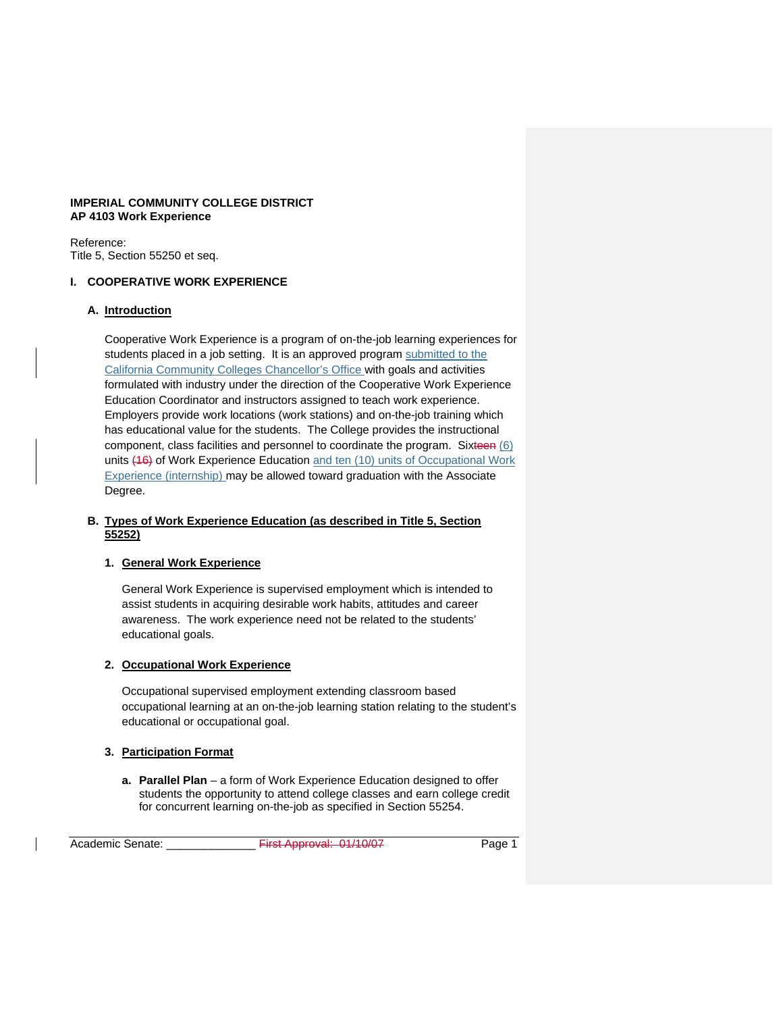## **IMPERIAL COMMUNITY COLLEGE DISTRICT AP 4103 Work Experience**

Reference: Title 5, Section 55250 et seq.

# **I. COOPERATIVE WORK EXPERIENCE**

## **A. Introduction**

Cooperative Work Experience is a program of on-the-job learning experiences for students placed in a job setting. It is an approved program submitted to the California Community Colleges Chancellor's Office with goals and activities formulated with industry under the direction of the Cooperative Work Experience Education Coordinator and instructors assigned to teach work experience. Employers provide work locations (work stations) and on-the-job training which has educational value for the students. The College provides the instructional component, class facilities and personnel to coordinate the program. Sixteen (6) units (16) of Work Experience Education and ten (10) units of Occupational Work Experience (internship) may be allowed toward graduation with the Associate Degree.

## **B. Types of Work Experience Education (as described in Title 5, Section 55252)**

# **1. General Work Experience**

General Work Experience is supervised employment which is intended to assist students in acquiring desirable work habits, attitudes and career awareness. The work experience need not be related to the students' educational goals.

# **2. Occupational Work Experience**

Occupational supervised employment extending classroom based occupational learning at an on-the-job learning station relating to the student's educational or occupational goal.

# **3. Participation Format**

**a. Parallel Plan** – a form of Work Experience Education designed to offer students the opportunity to attend college classes and earn college credit for concurrent learning on-the-job as specified in Section 55254.

Academic Senate: \_\_\_\_\_\_\_\_\_\_\_\_\_\_ First Approval: 01/10/07 Page 1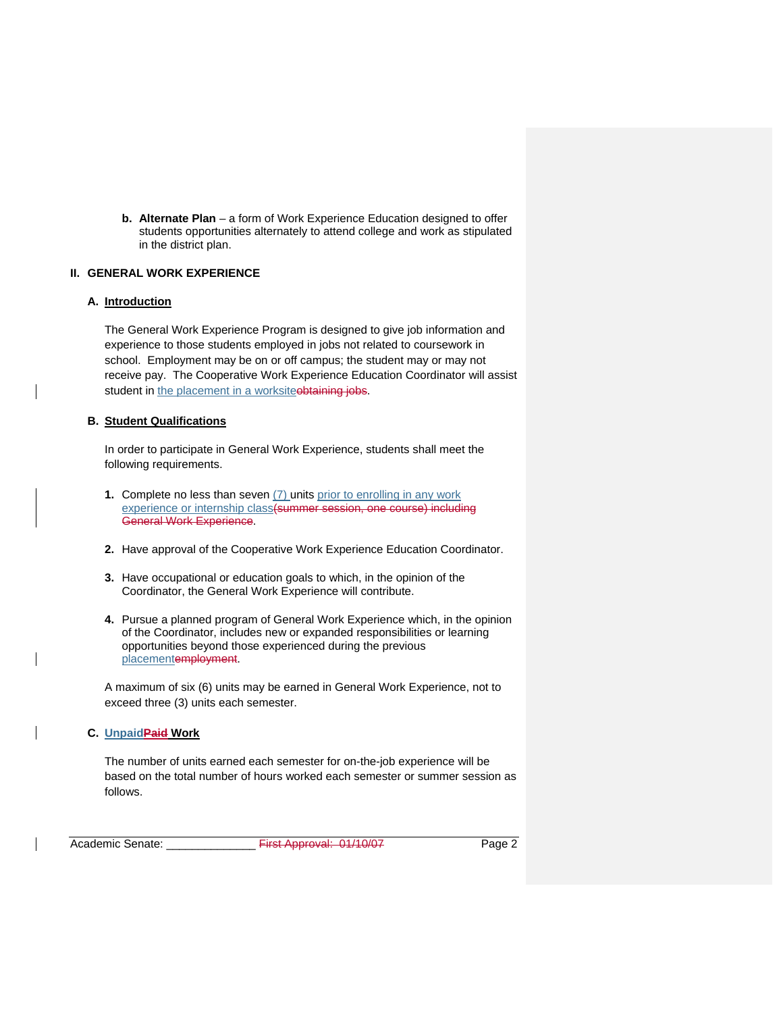**b. Alternate Plan** – a form of Work Experience Education designed to offer students opportunities alternately to attend college and work as stipulated in the district plan.

## **II. GENERAL WORK EXPERIENCE**

### **A. Introduction**

The General Work Experience Program is designed to give job information and experience to those students employed in jobs not related to coursework in school. Employment may be on or off campus; the student may or may not receive pay. The Cooperative Work Experience Education Coordinator will assist student in the placement in a worksiteobtaining jobs.

### **B. Student Qualifications**

In order to participate in General Work Experience, students shall meet the following requirements.

- **1.** Complete no less than seven (7) units prior to enrolling in any work experience or internship class(summer session, one course) including General Work Experience.
- **2.** Have approval of the Cooperative Work Experience Education Coordinator.
- **3.** Have occupational or education goals to which, in the opinion of the Coordinator, the General Work Experience will contribute.
- **4.** Pursue a planned program of General Work Experience which, in the opinion of the Coordinator, includes new or expanded responsibilities or learning opportunities beyond those experienced during the previous placementemployment.

A maximum of six (6) units may be earned in General Work Experience, not to exceed three (3) units each semester.

### **C. UnpaidPaid Work**

The number of units earned each semester for on-the-job experience will be based on the total number of hours worked each semester or summer session as follows.

Academic Senate: \_\_\_\_\_\_\_\_\_\_\_\_\_\_ First Approval: 01/10/07 Page 2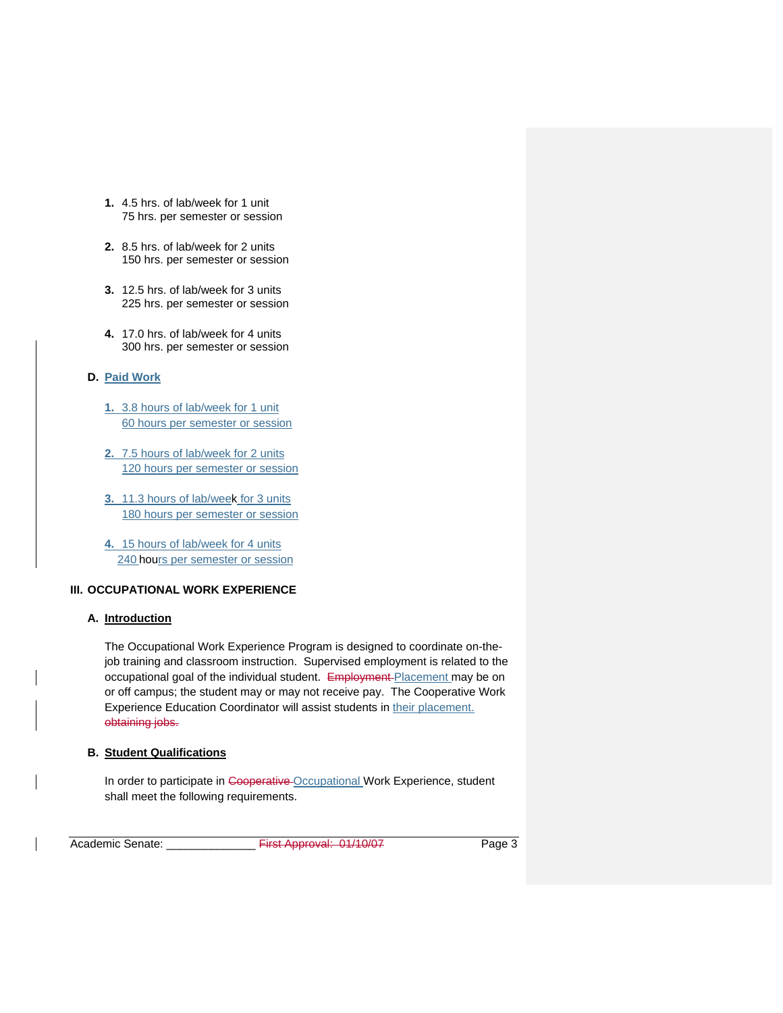- **1.** 4.5 hrs. of lab/week for 1 unit 75 hrs. per semester or session
- **2.** 8.5 hrs. of lab/week for 2 units 150 hrs. per semester or session
- **3.** 12.5 hrs. of lab/week for 3 units 225 hrs. per semester or session
- **4.** 17.0 hrs. of lab/week for 4 units 300 hrs. per semester or session

# **D. Paid Work**

- **1.** 3.8 hours of lab/week for 1 unit 60 hours per semester or session
- **2.** 7.5 hours of lab/week for 2 units 120 hours per semester or session
- **3.** 11.3 hours of lab/week for 3 units 180 hours per semester or session
- **4.** 15 hours of lab/week for 4 units 240 hours per semester or session

# **III. OCCUPATIONAL WORK EXPERIENCE**

### **A. Introduction**

The Occupational Work Experience Program is designed to coordinate on-thejob training and classroom instruction. Supervised employment is related to the occupational goal of the individual student. Employment Placement may be on or off campus; the student may or may not receive pay. The Cooperative Work Experience Education Coordinator will assist students in their placement. obtaining jobs.

## **B. Student Qualifications**

In order to participate in Cooperative Occupational Work Experience, student shall meet the following requirements.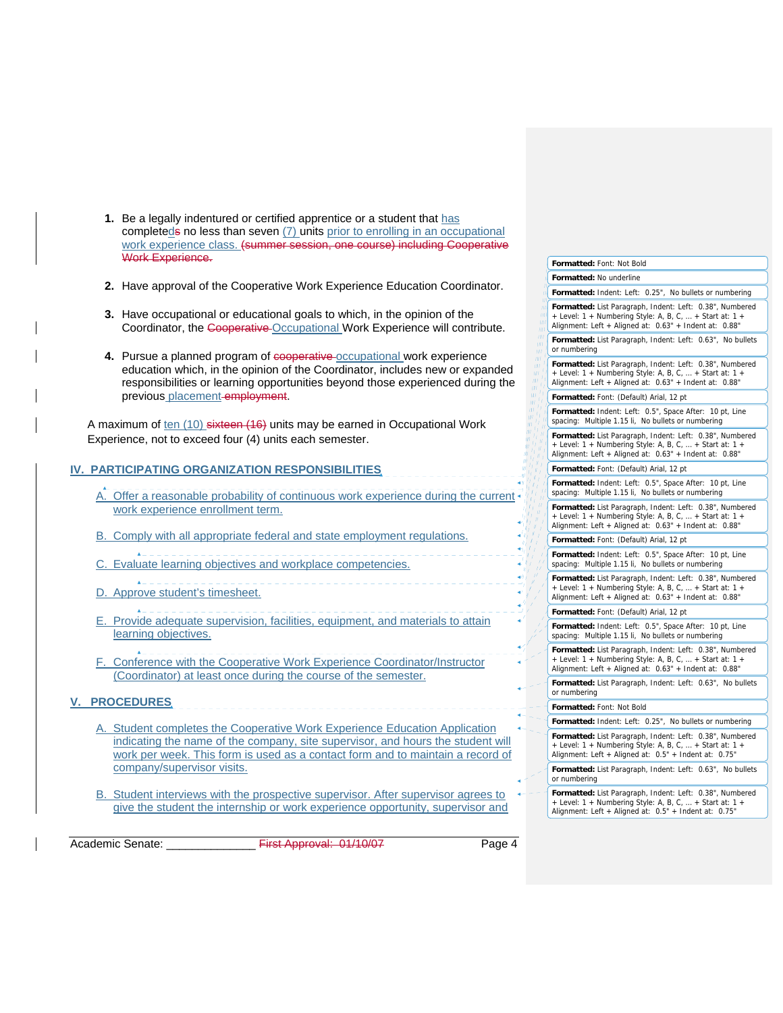- **1.** Be a legally indentured or certified apprentice or a student that has completeds no less than seven (7) units prior to enrolling in an occupational work experience class. (summer session, one course) including Cooperative Work Experience.
- **2.** Have approval of the Cooperative Work Experience Education Coordinator.
- **3.** Have occupational or educational goals to which, in the opinion of the Coordinator, the Cooperative Occupational Work Experience will contribute.
- 4. Pursue a planned program of cooperative-**occupational work experience** education which, in the opinion of the Coordinator, includes new or expanded responsibilities or learning opportunities beyond those experienced during the previous placement employment.

A maximum of ten (10) sixteen (16) units may be earned in Occupational Work Experience, not to exceed four (4) units each semester.

# **IV. PARTICIPATING ORGANIZATION RESPONSIBILITIES**

- A. Offer a reasonable probability of continuous work experience during the current  $\overline{\cdot}$ work experience enrollment term.
- B. Comply with all appropriate federal and state employment regulations.
- C. Evaluate learning objectives and workplace competencies.
- D. Approve student's timesheet.

All Contractors

- A contract the contract of the contract of the contract of E. Provide adequate supervision, facilities, equipment, and materials to attain learning objectives.
- F. Conference with the Cooperative Work Experience Coordinator/Instructor (Coordinator) at least once during the course of the semester.

## **V. PROCEDURES**

- A. Student completes the Cooperative Work Experience Education Application indicating the name of the company, site supervisor, and hours the student will work per week. This form is used as a contact form and to maintain a record of company/supervisor visits.
- B. Student interviews with the prospective supervisor. After supervisor agrees to give the student the internship or work experience opportunity, supervisor and

Academic Senate: \_\_\_\_\_\_\_\_\_\_\_\_\_\_ First Approval: 01/10/07 Page 4

| Formatted: Font: Not Bold                                                                                                                                                                                                  |  |
|----------------------------------------------------------------------------------------------------------------------------------------------------------------------------------------------------------------------------|--|
| <b>Formatted: No underline</b>                                                                                                                                                                                             |  |
| Formatted: Indent: Left: 0.25", No bullets or numbering                                                                                                                                                                    |  |
| Formatted: List Paragraph, Indent: Left: 0.38", Numbered<br>+ Level: 1 + Numbering Style: A, B, C,  + Start at: 1 +<br>Alignment: Left + Aligned at: 0.63" + Indent at: 0.88"<br>ш<br>Ш                                    |  |
| Formatted: List Paragraph, Indent: Left: 0.63", No bullets<br>or numbering                                                                                                                                                 |  |
| Formatted: List Paragraph, Indent: Left: 0.38", Numbered<br>+ Level: 1 + Numbering Style: A, B, C,  + Start at: 1 +<br>Alignment: Left + Aligned at: 0.63" + Indent at: 0.88"                                              |  |
| Formatted: Font: (Default) Arial, 12 pt                                                                                                                                                                                    |  |
| Formatted: Indent: Left: 0.5", Space After: 10 pt, Line<br>spacing: Multiple 1.15 li, No bullets or numbering                                                                                                              |  |
| $\boldsymbol{H}$<br>Formatted: List Paragraph, Indent: Left: 0.38", Numbered<br>п,<br>+ Level: 1 + Numbering Style: A, B, C,  + Start at: 1<br>$^{\prime}$<br>Alignment: Left + Aligned at: 0.63" + Indent at: 0.88"<br>i, |  |
| Formatted: Font: (Default) Arial, 12 pt                                                                                                                                                                                    |  |
| Formatted: Indent: Left: 0.5", Space After: 10 pt, Line<br>$\boldsymbol{I}$<br>$\overline{1}$<br>spacing: Multiple 1.15 li, No bullets or numbering                                                                        |  |
| $\bar{H}$<br>Formatted: List Paragraph, Indent: Left: 0.38", Numbered<br>+ Level: 1 + Numbering Style: A, B, C,  + Start at: 1 +<br>Alignment: Left + Aligned at: 0.63" + Indent at: 0.88"                                 |  |
| Formatted: Font: (Default) Arial, 12 pt                                                                                                                                                                                    |  |
| Formatted: Indent: Left: 0.5", Space After: 10 pt, Line<br>spacing: Multiple 1.15 li, No bullets or numbering                                                                                                              |  |
| Formatted: List Paragraph, Indent: Left: 0.38", Numbered<br>+ Level: 1 + Numbering Style: A, B, C,  + Start at: 1 +<br>Alignment: Left + Aligned at: 0.63" + Indent at: 0.88"                                              |  |
| Formatted: Font: (Default) Arial, 12 pt                                                                                                                                                                                    |  |
| Formatted: Indent: Left: 0.5", Space After: 10 pt, Line<br>spacing: Multiple 1.15 li, No bullets or numbering                                                                                                              |  |
| Formatted: List Paragraph, Indent: Left: 0.38", Numbered<br>+ Level: 1 + Numbering Style: A, B, C,  + Start at: 1 +<br>Alignment: Left + Aligned at: 0.63" + Indent at: 0.88"                                              |  |
| Formatted: List Paragraph, Indent: Left: 0.63", No bullets<br>or numbering                                                                                                                                                 |  |
| Formatted: Font: Not Bold                                                                                                                                                                                                  |  |
| Formatted: Indent: Left: 0.25", No bullets or numbering                                                                                                                                                                    |  |
| Formatted: List Paragraph, Indent: Left: 0.38", Numbered<br>+ Level: 1 + Numbering Style: A, B, C,  + Start at: 1 +<br>Alignment: Left + Aligned at: 0.5" + Indent at: 0.75"                                               |  |
| Formatted: List Paragraph, Indent: Left: 0.63", No bullets<br>or numbering                                                                                                                                                 |  |
| Formatted: List Paragraph, Indent: Left: 0.38", Numbered<br>+ Level: 1 + Numbering Style: A, B, C,  + Start at: 1 +<br>Alignment: Left + Aligned at: 0.5" + Indent at: 0.75"                                               |  |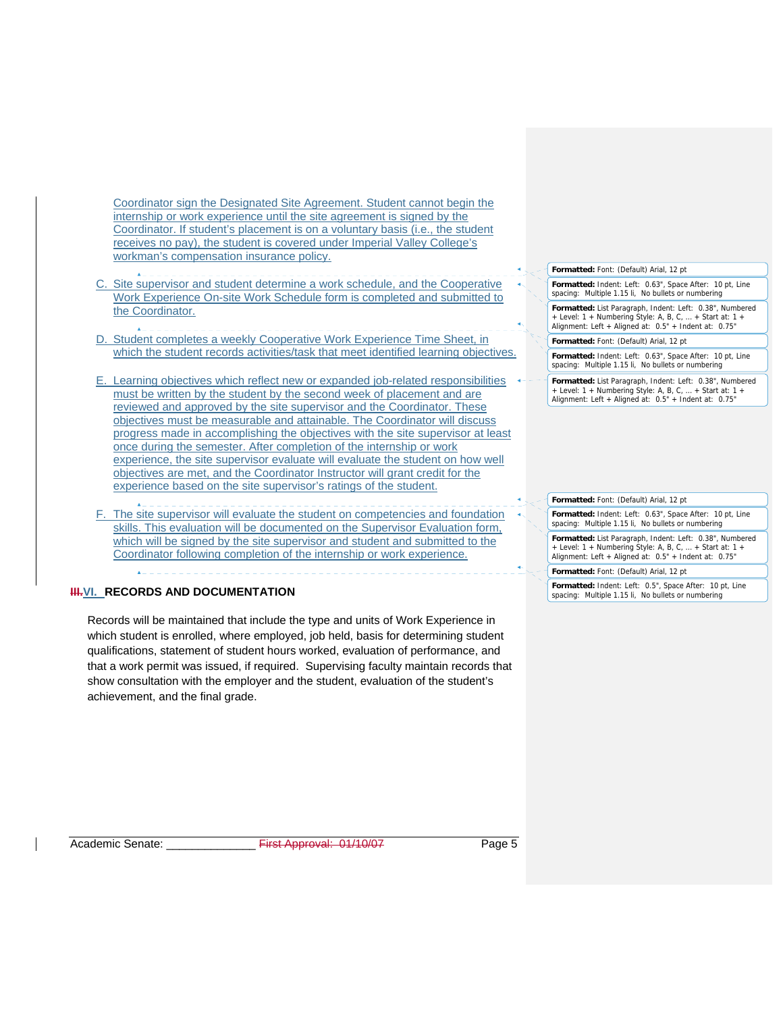Coordinator sign the Designated Site Agreement. Student cannot begin the internship or work experience until the site agreement is signed by the Coordinator. If student's placement is on a voluntary basis (i.e., the student receives no pay), the student is covered under Imperial Valley College's workman's compensation insurance policy.

- Site supervisor and student determine a work schedule, and the Cooperative Work Experience On-site Work Schedule form is completed and submitted to the Coordinator.
- D. Student completes a weekly Cooperative Work Experience Time Sheet, in which the student records activities/task that meet identified learning objectives.
- E. Learning objectives which reflect new or expanded job-related responsibilities must be written by the student by the second week of placement and are reviewed and approved by the site supervisor and the Coordinator. These objectives must be measurable and attainable. The Coordinator will discuss progress made in accomplishing the objectives with the site supervisor at least once during the semester. After completion of the internship or work experience, the site supervisor evaluate will evaluate the student on how well objectives are met, and the Coordinator Instructor will grant credit for the experience based on the site supervisor's ratings of the student.
- F. The site supervisor will evaluate the student on competencies and foundation skills. This evaluation will be documented on the Supervisor Evaluation form, which will be signed by the site supervisor and student and submitted to the Coordinator following completion of the internship or work experience.

# **III.VI. RECORDS AND DOCUMENTATION**

Records will be maintained that include the type and units of Work Experience in which student is enrolled, where employed, job held, basis for determining student qualifications, statement of student hours worked, evaluation of performance, and that a work permit was issued, if required. Supervising faculty maintain records that show consultation with the employer and the student, evaluation of the student's achievement, and the final grade.

**Formatted:** Font: (Default) Arial, 12 pt

**Formatted:** Indent: Left: 0.63", Space After: 10 pt, Line spacing: Multiple 1.15 li, No bullets or numbering **Formatted:** List Paragraph, Indent: Left: 0.38", Numbered

Level:  $1 +$  Numbering Style: A, B, C, ... + Start at:  $1 +$ Alignment: Left + Aligned at: 0.5" + Indent at: 0.75"

**Formatted:** Font: (Default) Arial, 12 pt

**Formatted:** Indent: Left: 0.63", Space After: 10 pt, Line spacing: Multiple 1.15 li, No bullets or numbering

**Formatted:** List Paragraph, Indent: Left: 0.38", Numbered + Level: 1 + Numbering Style: A, B, C, … + Start at: 1 + Alignment: Left + Aligned at: 0.5" + Indent at: 0.75"

#### **Formatted:** Font: (Default) Arial, 12 pt

**Formatted:** Indent: Left: 0.63", Space After: 10 pt, Line spacing: Multiple 1.15 li, No bullets or numbering

**Formatted:** List Paragraph, Indent: Left: 0.38", Numbered + Level: 1 + Numbering Style: A, B, C, … + Start at: 1 + Alignment: Left + Aligned at: 0.5" + Indent at: 0.75"

#### **Formatted:** Font: (Default) Arial, 12 pt

**Formatted:** Indent: Left: 0.5", Space After: 10 pt, Line spacing: Multiple 1.15 li, No bullets or numbering

Academic Senate: \_\_\_\_\_\_\_\_\_\_\_\_\_\_ First Approval: 01/10/07 Page 5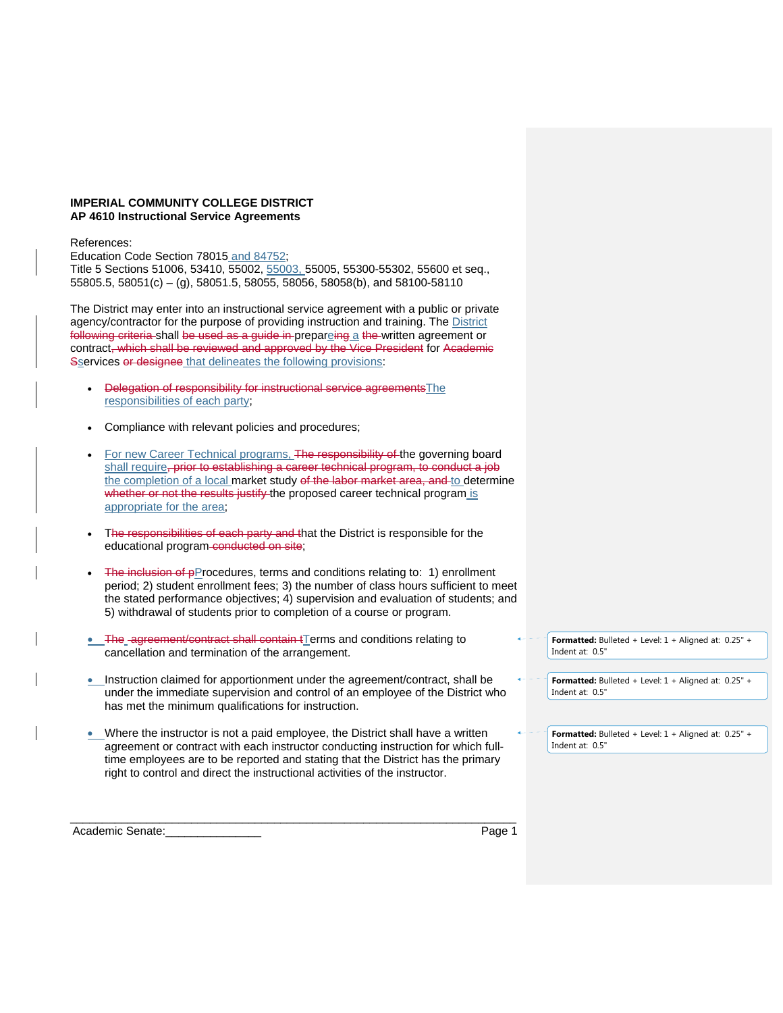### **IMPERIAL COMMUNITY COLLEGE DISTRICT AP 4610 Instructional Service Agreements**

### References:

Education Code Section 78015 and 84752;

Title 5 Sections 51006, 53410, 55002, 55003, 55005, 55300-55302, 55600 et seq., 55805.5, 58051(c) – (g), 58051.5, 58055, 58056, 58058(b), and 58100-58110

The District may enter into an instructional service agreement with a public or private agency/contractor for the purpose of providing instruction and training. The District following criteria shall be used as a guide in prepareing a the written agreement or contract, which shall be reviewed and approved by the Vice President for Academic Sservices or designee that delineates the following provisions:

- Delegation of responsibility for instructional service agreementsThe responsibilities of each party;
- Compliance with relevant policies and procedures;
- For new Career Technical programs, The responsibility of the governing board shall require, prior to establishing a career technical program, to conduct a job the completion of a local market study of the labor market area, and to determine whether or not the results justify the proposed career technical program is appropriate for the area;
- The responsibilities of each party and that the District is responsible for the educational program-conducted on site;
- $\bullet$  The inclusion of pProcedures, terms and conditions relating to: 1) enrollment period; 2) student enrollment fees; 3) the number of class hours sufficient to meet the stated performance objectives; 4) supervision and evaluation of students; and 5) withdrawal of students prior to completion of a course or program.
- The agreement/contract shall contain tTerms and conditions relating to cancellation and termination of the arrangement.
- Instruction claimed for apportionment under the agreement/contract, shall be under the immediate supervision and control of an employee of the District who has met the minimum qualifications for instruction.
- Where the instructor is not a paid employee, the District shall have a written agreement or contract with each instructor conducting instruction for which fulltime employees are to be reported and stating that the District has the primary right to control and direct the instructional activities of the instructor.

\_\_\_\_\_\_\_\_\_\_\_\_\_\_\_\_\_\_\_\_\_\_\_\_\_\_\_\_\_\_\_\_\_\_\_\_\_\_\_\_\_\_\_\_\_\_\_\_\_\_\_\_\_\_\_\_\_\_\_\_\_\_\_\_\_\_\_\_\_\_

Academic Senate: et al. 2012 and 2014 and 2014 and 2014 and 2014 and 2014 and 2014 and 2014 and 2014 and 2014 and 2014 and 2014 and 2014 and 2014 and 2014 and 2014 and 2014 and 2014 and 2014 and 2014 and 2014 and 2014 and

**Formatted:** Bulleted + Level: 1 + Aligned at: 0.25" + Indent at: 0.5"

| $\overline{\phantom{a}}$ <b>Formatted:</b> Bulleted + Level: 1 + Aligned at: 0.25" + |  |
|--------------------------------------------------------------------------------------|--|
| Indent at: 0.5"                                                                      |  |

| $\overline{\phantom{a}}$ <b>Formatted:</b> Bulleted + Level: 1 + Aligned at: 0.25" + |  |
|--------------------------------------------------------------------------------------|--|
| Indent at: $0.5"$                                                                    |  |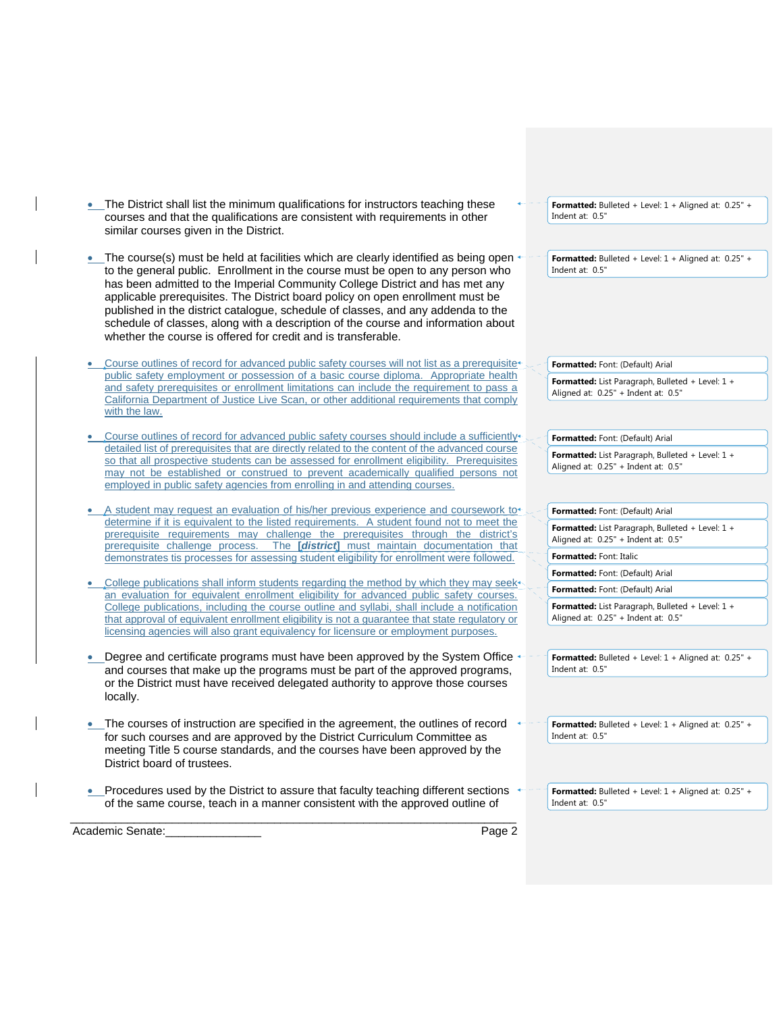| • The District shall list the minimum qualifications for instructors teaching these<br>courses and that the qualifications are consistent with requirements in other<br>similar courses given in the District.                                                                                                                                                                                                                                                                                                                                                                    |        | Formatted: Bulleted + Level: 1 + Aligned at: 0.25" +<br>Indent at: 0.5"                 |
|-----------------------------------------------------------------------------------------------------------------------------------------------------------------------------------------------------------------------------------------------------------------------------------------------------------------------------------------------------------------------------------------------------------------------------------------------------------------------------------------------------------------------------------------------------------------------------------|--------|-----------------------------------------------------------------------------------------|
| The course(s) must be held at facilities which are clearly identified as being open<br>to the general public. Enrollment in the course must be open to any person who<br>has been admitted to the Imperial Community College District and has met any<br>applicable prerequisites. The District board policy on open enrollment must be<br>published in the district catalogue, schedule of classes, and any addenda to the<br>schedule of classes, along with a description of the course and information about<br>whether the course is offered for credit and is transferable. |        | Formatted: Bulleted + Level: $1 +$ Aligned at: 0.25" +<br>Indent at: 0.5"               |
| Course outlines of record for advanced public safety courses will not list as a prerequisite+                                                                                                                                                                                                                                                                                                                                                                                                                                                                                     |        | Formatted: Font: (Default) Arial                                                        |
| public safety employment or possession of a basic course diploma. Appropriate health<br>and safety prerequisites or enrollment limitations can include the requirement to pass a<br>California Department of Justice Live Scan, or other additional requirements that comply<br>with the law.                                                                                                                                                                                                                                                                                     |        | Formatted: List Paragraph, Bulleted + Level: 1 +<br>Aligned at: 0.25" + Indent at: 0.5" |
| Course outlines of record for advanced public safety courses should include a sufficiently <sup>4</sup>                                                                                                                                                                                                                                                                                                                                                                                                                                                                           |        | Formatted: Font: (Default) Arial                                                        |
| detailed list of prerequisites that are directly related to the content of the advanced course<br>so that all prospective students can be assessed for enrollment eligibility. Prerequisites<br>may not be established or construed to prevent academically qualified persons not                                                                                                                                                                                                                                                                                                 |        | Formatted: List Paragraph, Bulleted + Level: 1 +<br>Aligned at: 0.25" + Indent at: 0.5" |
| employed in public safety agencies from enrolling in and attending courses.                                                                                                                                                                                                                                                                                                                                                                                                                                                                                                       |        |                                                                                         |
| A student may request an evaluation of his/her previous experience and coursework to                                                                                                                                                                                                                                                                                                                                                                                                                                                                                              |        |                                                                                         |
| determine if it is equivalent to the listed requirements. A student found not to meet the                                                                                                                                                                                                                                                                                                                                                                                                                                                                                         |        | Formatted: Font: (Default) Arial                                                        |
| prerequisite requirements may challenge the prerequisites through the district's<br>prerequisite challenge process. The [district] must maintain documentation that                                                                                                                                                                                                                                                                                                                                                                                                               |        | Formatted: List Paragraph, Bulleted + Level: 1 +<br>Aligned at: 0.25" + Indent at: 0.5" |
| demonstrates tis processes for assessing student eligibility for enrollment were followed.                                                                                                                                                                                                                                                                                                                                                                                                                                                                                        |        | Formatted: Font: Italic                                                                 |
| College publications shall inform students regarding the method by which they may seek <sup>*</sup>                                                                                                                                                                                                                                                                                                                                                                                                                                                                               |        | Formatted: Font: (Default) Arial                                                        |
| an evaluation for equivalent enrollment eligibility for advanced public safety courses.                                                                                                                                                                                                                                                                                                                                                                                                                                                                                           |        | Formatted: Font: (Default) Arial                                                        |
| College publications, including the course outline and syllabi, shall include a notification<br>that approval of equivalent enrollment eligibility is not a guarantee that state regulatory or                                                                                                                                                                                                                                                                                                                                                                                    |        | Formatted: List Paragraph, Bulleted + Level: 1 +<br>Aligned at: 0.25" + Indent at: 0.5" |
| licensing agencies will also grant equivalency for licensure or employment purposes.                                                                                                                                                                                                                                                                                                                                                                                                                                                                                              |        |                                                                                         |
| Degree and certificate programs must have been approved by the System Office<br>and courses that make up the programs must be part of the approved programs,                                                                                                                                                                                                                                                                                                                                                                                                                      |        | Formatted: Bulleted + Level: $1 +$ Aligned at: 0.25" +<br>Indent at: 0.5"               |
| or the District must have received delegated authority to approve those courses<br>locally.                                                                                                                                                                                                                                                                                                                                                                                                                                                                                       |        |                                                                                         |
| • The courses of instruction are specified in the agreement, the outlines of record                                                                                                                                                                                                                                                                                                                                                                                                                                                                                               |        | Formatted: Bulleted + Level: $1 +$ Aligned at: 0.25" +                                  |
| for such courses and are approved by the District Curriculum Committee as<br>meeting Title 5 course standards, and the courses have been approved by the<br>District board of trustees.                                                                                                                                                                                                                                                                                                                                                                                           |        | Indent at: 0.5"                                                                         |
| Procedures used by the District to assure that faculty teaching different sections                                                                                                                                                                                                                                                                                                                                                                                                                                                                                                |        | Formatted: Bulleted + Level: 1 + Aligned at: 0.25" +                                    |
| of the same course, teach in a manner consistent with the approved outline of                                                                                                                                                                                                                                                                                                                                                                                                                                                                                                     |        | Indent at: 0.5"                                                                         |
| Academic Senate:                                                                                                                                                                                                                                                                                                                                                                                                                                                                                                                                                                  | Page 2 |                                                                                         |
|                                                                                                                                                                                                                                                                                                                                                                                                                                                                                                                                                                                   |        |                                                                                         |

 $\overline{\phantom{a}}$